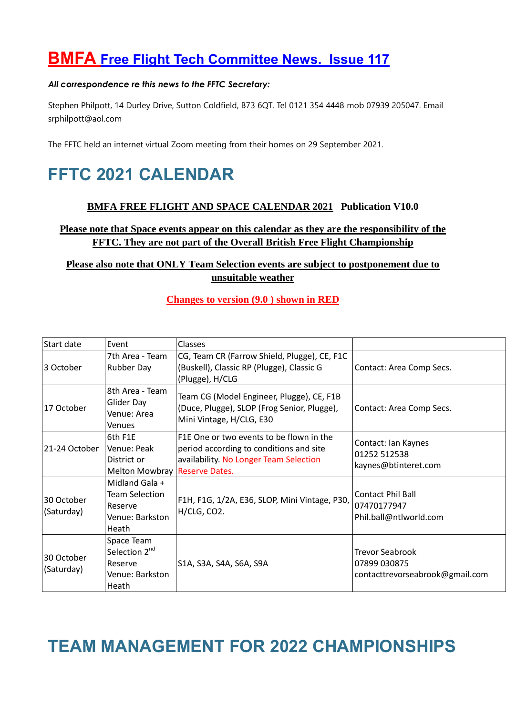# **BMFA Free Flight Tech Committee News. Issue 117**

### *All correspondence re this news to the FFTC Secretary:*

Stephen Philpott, 14 Durley Drive, Sutton Coldfield, B73 6QT. Tel 0121 354 4448 mob 07939 205047. Email srphilpott@aol.com

The FFTC held an internet virtual Zoom meeting from their homes on 29 September 2021.

# **FFTC 2021 CALENDAR**

# **BMFA FREE FLIGHT AND SPACE CALENDAR 2021 Publication V10.0**

# **Please note that Space events appear on this calendar as they are the responsibility of the FFTC. They are not part of the Overall British Free Flight Championship**

# **Please also note that ONLY Team Selection events are subject to postponement due to unsuitable weather**

## **Changes to version (9.0 ) shown in RED**

| Start date               | Event                                                                          | Classes                                                                                                                       |                                                                           |
|--------------------------|--------------------------------------------------------------------------------|-------------------------------------------------------------------------------------------------------------------------------|---------------------------------------------------------------------------|
| 3 October                | 7th Area - Team<br><b>Rubber Day</b>                                           | CG, Team CR (Farrow Shield, Plugge), CE, F1C<br>(Buskell), Classic RP (Plugge), Classic G<br>(Plugge), H/CLG                  | Contact: Area Comp Secs.                                                  |
| 17 October               | 8th Area - Team<br>Glider Day<br>Venue: Area<br>Venues                         | Team CG (Model Engineer, Plugge), CE, F1B<br>(Duce, Plugge), SLOP (Frog Senior, Plugge),<br>Mini Vintage, H/CLG, E30          | Contact: Area Comp Secs.                                                  |
| 21-24 October            | 6th F1E<br>Venue: Peak<br>District or<br>Melton Mowbray Reserve Dates.         | F1E One or two events to be flown in the<br>period according to conditions and site<br>availability. No Longer Team Selection | Contact: Ian Kaynes<br>01252 512538<br>kaynes@btinteret.com               |
| 30 October<br>(Saturday) | Midland Gala +<br><b>Team Selection</b><br>Reserve<br>Venue: Barkston<br>Heath | F1H, F1G, 1/2A, E36, SLOP, Mini Vintage, P30,<br>H/CLG, CO2.                                                                  | <b>Contact Phil Ball</b><br>07470177947<br>Phil.ball@ntlworld.com         |
| 30 October<br>(Saturday) | Space Team<br>Selection 2 <sup>nd</sup><br>Reserve<br>Venue: Barkston<br>Heath | S1A, S3A, S4A, S6A, S9A                                                                                                       | <b>Trevor Seabrook</b><br>07899 030875<br>contacttrevorseabrook@gmail.com |

# **TEAM MANAGEMENT FOR 2022 CHAMPIONSHIPS**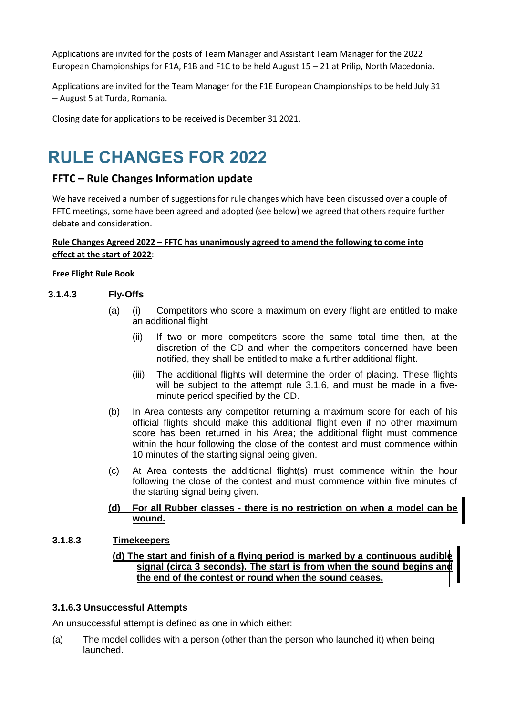Applications are invited for the posts of Team Manager and Assistant Team Manager for the 2022 European Championships for F1A, F1B and F1C to be held August 15 – 21 at Prilip, North Macedonia.

Applications are invited for the Team Manager for the F1E European Championships to be held July 31 – August 5 at Turda, Romania.

Closing date for applications to be received is December 31 2021.

# **RULE CHANGES FOR 2022**

# **FFTC – Rule Changes Information update**

We have received a number of suggestions for rule changes which have been discussed over a couple of FFTC meetings, some have been agreed and adopted (see below) we agreed that others require further debate and consideration.

## **Rule Changes Agreed 2022 – FFTC has unanimously agreed to amend the following to come into effect at the start of 2022**:

### **Free Flight Rule Book**

## **3.1.4.3 Fly-Offs**

- (a) (i) Competitors who score a maximum on every flight are entitled to make an additional flight
	- (ii) If two or more competitors score the same total time then, at the discretion of the CD and when the competitors concerned have been notified, they shall be entitled to make a further additional flight.
	- (iii) The additional flights will determine the order of placing. These flights will be subject to the attempt rule 3.1.6, and must be made in a fiveminute period specified by the CD.
- (b) In Area contests any competitor returning a maximum score for each of his official flights should make this additional flight even if no other maximum score has been returned in his Area; the additional flight must commence within the hour following the close of the contest and must commence within 10 minutes of the starting signal being given.
- (c) At Area contests the additional flight(s) must commence within the hour following the close of the contest and must commence within five minutes of the starting signal being given.

### **(d) For all Rubber classes - there is no restriction on when a model can be wound.**

## **3.1.8.3 Timekeepers**

## **(d) The start and finish of a flying period is marked by a continuous audible signal (circa 3 seconds). The start is from when the sound begins and the end of the contest or round when the sound ceases.**

## **3.1.6.3 Unsuccessful Attempts**

An unsuccessful attempt is defined as one in which either:

(a) The model collides with a person (other than the person who launched it) when being launched.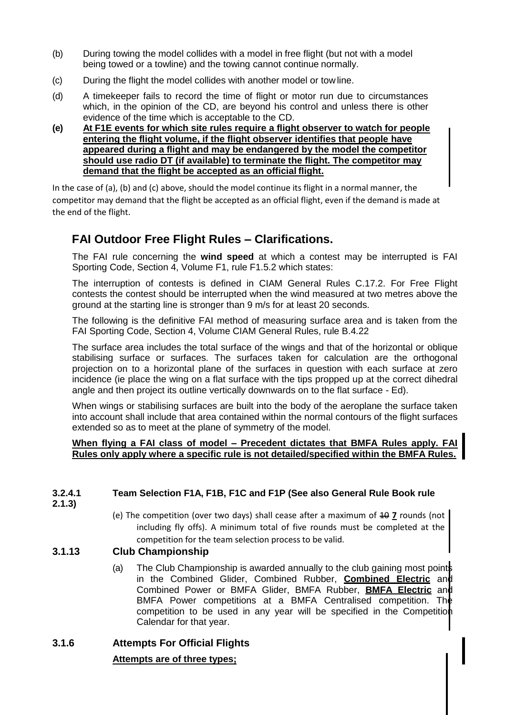- (b) During towing the model collides with a model in free flight (but not with a model being towed or a towline) and the towing cannot continue normally.
- (c) During the flight the model collides with another model or tow line.
- (d) A timekeeper fails to record the time of flight or motor run due to circumstances which, in the opinion of the CD, are beyond his control and unless there is other evidence of the time which is acceptable to the CD.
- **(e) At F1E events for which site rules require a flight observer to watch for people entering the flight volume, if the flight observer identifies that people have appeared during a flight and may be endangered by the model the competitor should use radio DT (if available) to terminate the flight. The competitor may demand that the flight be accepted as an official flight.**

In the case of (a), (b) and (c) above, should the model continue its flight in a normal manner, the competitor may demand that the flight be accepted as an official flight, even if the demand is made at the end of the flight.

# **FAI Outdoor Free Flight Rules – Clarifications.**

The FAI rule concerning the **wind speed** at which a contest may be interrupted is FAI Sporting Code, Section 4, Volume F1, rule F1.5.2 which states:

The interruption of contests is defined in CIAM General Rules C.17.2. For Free Flight contests the contest should be interrupted when the wind measured at two metres above the ground at the starting line is stronger than 9 m/s for at least 20 seconds.

The following is the definitive FAI method of measuring surface area and is taken from the FAI Sporting Code, Section 4, Volume CIAM General Rules, rule B.4.22

The surface area includes the total surface of the wings and that of the horizontal or oblique stabilising surface or surfaces. The surfaces taken for calculation are the orthogonal projection on to a horizontal plane of the surfaces in question with each surface at zero incidence (ie place the wing on a flat surface with the tips propped up at the correct dihedral angle and then project its outline vertically downwards on to the flat surface - Ed).

When wings or stabilising surfaces are built into the body of the aeroplane the surface taken into account shall include that area contained within the normal contours of the flight surfaces extended so as to meet at the plane of symmetry of the model.

## When flying a FAI class of model – Precedent dictates that BMFA Rules apply. FA **Rules only apply where a specific rule is not detailed/specified within the BMFA Rules.**

# **3.2.4.1 Team Selection F1A, F1B, F1C and F1P (See also General Rule Book rule**

- **2.1.3)**
- (e) The competition (over two days) shall cease after a maximum of  $107$  rounds (not including fly offs). A minimum total of five rounds must be completed at the competition for the team selection process to be valid.

# **3.1.13 Club Championship**

(a) The Club Championship is awarded annually to the club gaining most points in the Combined Glider, Combined Rubber, **Combined Electric** and Combined Power or BMFA Glider, BMFA Rubber, **BMFA Electric** and BMFA Power competitions at a BMFA Centralised competition. The competition to be used in any year will be specified in the Competition Calendar for that year.

# **3.1.6 Attempts For Official Flights**

# **Attempts are of three types;**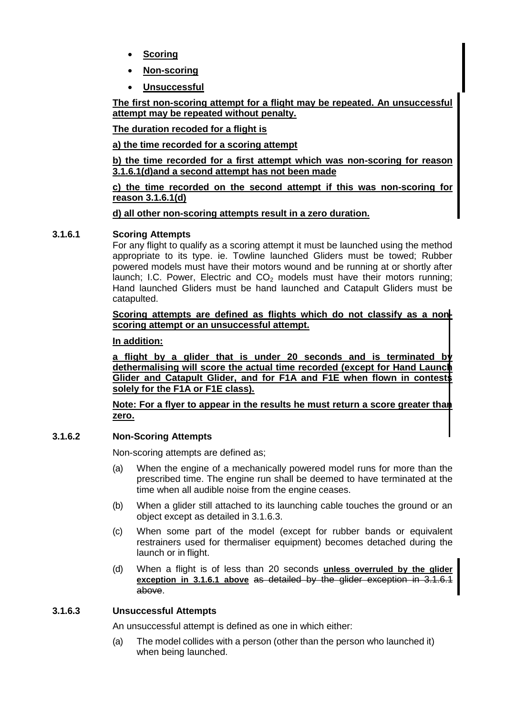- **Scoring**
- **Non-scoring**
- **Unsuccessful**

**The first non-scoring attempt for a flight may be repeated. An unsuccessful attempt may be repeated without penalty.**

**The duration recoded for a flight is**

**a) the time recorded for a scoring attempt**

**b) the time recorded for a first attempt which was non-scoring for reason 3.1.6.1(d)and a second attempt has not been made**

**c) the time recorded on the second attempt if this was non-scoring for reason 3.1.6.1(d)**

**d) all other non-scoring attempts result in a zero duration.**

## **3.1.6.1 Scoring Attempts**

For any flight to qualify as a scoring attempt it must be launched using the method appropriate to its type. ie. Towline launched Gliders must be towed; Rubber powered models must have their motors wound and be running at or shortly after launch; I.C. Power, Electric and  $CO<sub>2</sub>$  models must have their motors running; Hand launched Gliders must be hand launched and Catapult Gliders must be catapulted.

**Scoring attempts are defined as flights which do not classify as a nonscoring attempt or an unsuccessful attempt.**

## **In addition:**

**a flight by a glider that is under 20 seconds and is terminated by dethermalising will score the actual time recorded (except for Hand Launch Glider and Catapult Glider, and for F1A and F1E when flown in contests solely for the F1A or F1E class).**

**Note: For a flyer to appear in the results he must return a score greater than zero.**

# **3.1.6.2 Non-Scoring Attempts**

Non-scoring attempts are defined as;

- (a) When the engine of a mechanically powered model runs for more than the prescribed time. The engine run shall be deemed to have terminated at the time when all audible noise from the engine ceases.
- (b) When a glider still attached to its launching cable touches the ground or an object except as detailed in 3.1.6.3.
- (c) When some part of the model (except for rubber bands or equivalent restrainers used for thermaliser equipment) becomes detached during the launch or in flight.
- (d) When a flight is of less than 20 seconds **unless overruled by the glider exception in 3.1.6.1 above** as detailed by the glider exception in 3.1.6.1 above.

# **3.1.6.3 Unsuccessful Attempts**

An unsuccessful attempt is defined as one in which either:

(a) The model collides with a person (other than the person who launched it) when being launched.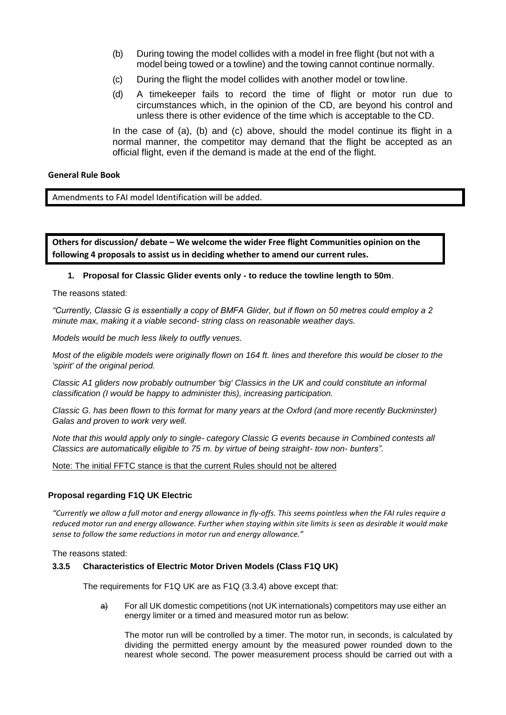- (b) During towing the model collides with a model in free flight (but not with a model being towed or a towline) and the towing cannot continue normally.
- (c) During the flight the model collides with another model or tow line.
- (d) A timekeeper fails to record the time of flight or motor run due to circumstances which, in the opinion of the CD, are beyond his control and unless there is other evidence of the time which is acceptable to the CD.

In the case of (a), (b) and (c) above, should the model continue its flight in a normal manner, the competitor may demand that the flight be accepted as an official flight, even if the demand is made at the end of the flight.

#### **General Rule Book**

Amendments to FAI model Identification will be added.

**Others for discussion/ debate – We welcome the wider Free flight Communities opinion on the following 4 proposals to assist us in deciding whether to amend our current rules.**

#### **1. Proposal for Classic Glider events only - to reduce the towline length to 50m**.

The reasons stated:

*"Currently, Classic G is essentially a copy of BMFA Glider, but if flown on 50 metres could employ a 2 minute max, making it a viable second- string class on reasonable weather days.*

*Models would be much less likely to outfly venues.*

*Most of the eligible models were originally flown on 164 ft. lines and therefore this would be closer to the 'spirit' of the original period.*

*Classic A1 gliders now probably outnumber 'big' Classics in the UK and could constitute an informal classification (I would be happy to administer this), increasing participation.*

*Classic G. has been flown to this format for many years at the Oxford (and more recently Buckminster) Galas and proven to work very well.*

*Note that this would apply only to single- category Classic G events because in Combined contests all Classics are automatically eligible to 75 m. by virtue of being straight- tow non- bunters".*

Note: The initial FFTC stance is that the current Rules should not be altered

#### **Proposal regarding F1Q UK Electric**

*"Currently we allow a full motor and energy allowance in fly-offs. This seems pointless when the FAI rules require a reduced motor run and energy allowance. Further when staying within site limits is seen as desirable it would make sense to follow the same reductions in motor run and energy allowance."*

The reasons stated:

#### **3.3.5 Characteristics of Electric Motor Driven Models (Class F1Q UK)**

The requirements for F1Q UK are as F1Q (3.3.4) above except that:

a) For all UK domestic competitions (not UK internationals) competitors may use either an energy limiter or a timed and measured motor run as below:

The motor run will be controlled by a timer. The motor run, in seconds, is calculated by dividing the permitted energy amount by the measured power rounded down to the nearest whole second. The power measurement process should be carried out with a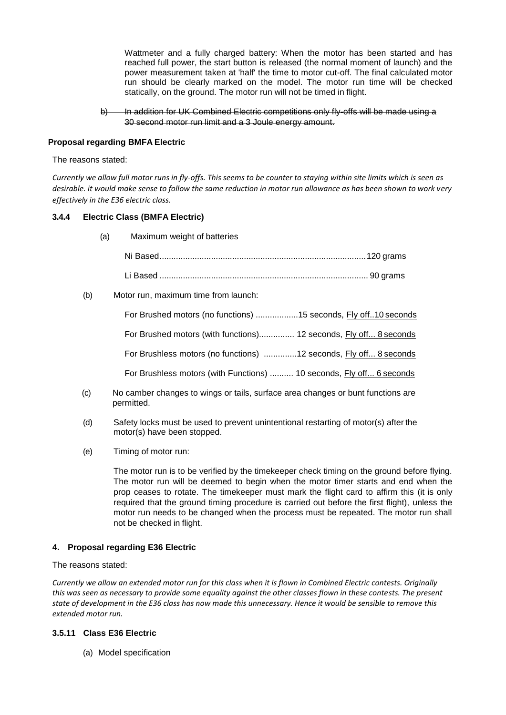Wattmeter and a fully charged battery: When the motor has been started and has reached full power, the start button is released (the normal moment of launch) and the power measurement taken at 'half' the time to motor cut-off. The final calculated motor run should be clearly marked on the model. The motor run time will be checked statically, on the ground. The motor run will not be timed in flight.

#### In addition for UK Combined Electric competitions only fly-offs will be made using a 30 second motor run limit and a 3 Joule energy amount.

### **Proposal regarding BMFA Electric**

#### The reasons stated:

*Currently we allow full motor runs in fly-offs. This seems to be counter to staying within site limits which is seen as desirable. it would make sense to follow the same reduction in motor run allowance as has been shown to work very effectively in the E36 electric class.*

#### **3.4.4 Electric Class (BMFA Electric)**

(a) Maximum weight of batteries

#### (b) Motor run, maximum time from launch:

| For Brushed motors (no functions) 15 seconds, Fly off10 seconds      |  |
|----------------------------------------------------------------------|--|
| For Brushed motors (with functions) 12 seconds, Fly off 8 seconds    |  |
| For Brushless motors (no functions) 12 seconds, Fly off 8 seconds    |  |
| For Brushless motors (with Functions)  10 seconds, Fly off 6 seconds |  |

- (c) No camber changes to wings or tails, surface area changes or bunt functions are permitted.
- (d) Safety locks must be used to prevent unintentional restarting of motor(s) after the motor(s) have been stopped.
- (e) Timing of motor run:

The motor run is to be verified by the timekeeper check timing on the ground before flying. The motor run will be deemed to begin when the motor timer starts and end when the prop ceases to rotate. The timekeeper must mark the flight card to affirm this (it is only required that the ground timing procedure is carried out before the first flight), unless the motor run needs to be changed when the process must be repeated. The motor run shall not be checked in flight.

#### **4. Proposal regarding E36 Electric**

#### The reasons stated:

*Currently we allow an extended motor run for this class when it is flown in Combined Electric contests. Originally this was seen as necessary to provide some equality against the other classes flown in these contests. The present state of development in the E36 class has now made this unnecessary. Hence it would be sensible to remove this extended motor run.*

#### **3.5.11 Class E36 Electric**

(a) Model specification